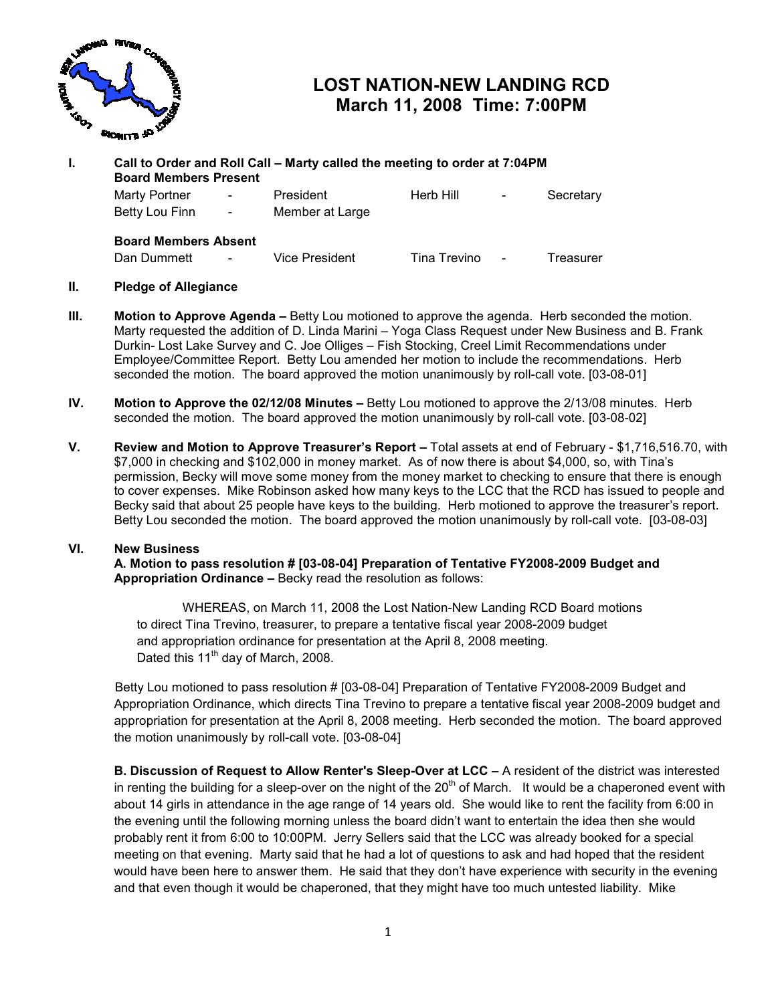

# LOST NATION-NEW LANDING RCD March 11, 2008 Time: 7:00PM

| L. | Call to Order and Roll Call – Marty called the meeting to order at 7:04PM<br><b>Board Members Present</b> |                |                              |              |                |           |
|----|-----------------------------------------------------------------------------------------------------------|----------------|------------------------------|--------------|----------------|-----------|
|    | Marty Portner<br>Betty Lou Finn -                                                                         | $\blacksquare$ | President<br>Member at Large | Herb Hill    | $\blacksquare$ | Secretary |
|    | <b>Board Members Absent</b><br>Dan Dummett                                                                | $\blacksquare$ | Vice President               | Tina Trevino | $\blacksquare$ | Treasurer |

### II. Pledge of Allegiance

- III. Motion to Approve Agenda Betty Lou motioned to approve the agenda. Herb seconded the motion. **Motion to Approve Agenda –** Betty Lou motioned to approve the agenda. Herb seconded the motion.<br>Marty requested the addition of D. Linda Marini – Yoga Class Request under New Business and B. Frank Durkin- Lost Lake Survey and C. Joe Olliges – Fish Stocking, Creel Limit Recommendations under Employee/Committee Report. Betty Lou amended her motion to include the recommendations. Herb Employee/Committee Report. Betty Lou amended her motion to include the recommendations.<br>seconded the motion. The board approved the motion unanimously by roll-call vote. [03-08-01]
- IV. Motion to Approve the 02/12/08 Minutes  $-$  Betty Lou motioned to approve the 2/13/08 minutes. Herb seconded the motion. The board approved the motion unanimously by roll-call vote. [03-08-02]
- V. Review and Motion to Approve Treasurer's Report Total assets at end of February \$1,716,516.70, with \$7,000 in checking and \$102,000 in money market. As of now there is about \$4,000, so, with Tina's in and there is so, Tina's permission, Becky will move some money from the money market to checking to ensure that there is enough to cover expenses. Mike Robinson asked how many keys to the LCC that the RCD has issued to people and to cover expenses. Mike Robinson asked how many keys to the LCC that the RCD has issued to people anc<br>Becky said that about 25 people have keys to the building. Herb motioned to approve the treasurer's report. Betty Lou seconded the motion. The board approved the motion unanimously by roll-call vote. [03-08-03]

#### VI. New Business

 A. Motion to pass resolution # [ [03-08-04] Preparation of Tentative FY2008-2009 2009 Budget and Appropriation Ordinance – Becky read the resolution as follows:

**on Ordinance –** Becky read the resolution as follows:<br>WHEREAS, on March 11, 2008 the Lost Nation-New Landing RCD Board motions to direct Tina Trevino, treasurer, to prepare a tentative fiscal year 2008-2009 budget and appropriation ordinance for presentation at the April 8, 2008 meeting.<br>Dated this 11<sup>th</sup> day of March, 2008. Dated this  $11^{th}$  day of March, 2008. WHEREAS, on March 11, 2008 the Lost Nation-New Landing RCD Board motions<br>to direct Tina Trevino, treasurer, to prepare a tentative fiscal year 2008-2009 budget<br>and appropriation ordinance for presentation at the April 8, 2

Appropriation Ordinance, which directs Tina Trevino to prepare a tentative fiscal year 2008 2008-2009 budget and Appropriation Ordinance, which directs Tina Trevino to prepare a tentative fiscal year 2008-2009 budget and<br>appropriation for presentation at the April 8, 2008 meeting. Herb seconded the motion. The board approved the motion unanimously by roll-call vote. [03-08-04]

B. Discussion of Request to Allow Renter's Sleep-Over at LCC – A resident of the district was interested in renting the building for a sleep-over on the night of the 20<sup>th</sup> of March. It would be a chaperoned event with about 14 girls in attendance in the age range of 14 years old. She would like to rent the facility from 6:00 in the evening until the following morning unless the board didn't want to entertain the idea then she would probably rent it from 6:00 to 10:00PM. Jerry Sellers said that the LCC was already booked for a special meeting on that evening. Marty said that he had a lot of questions to ask and had hoped that the reside would have been here to answer them. He said that they don't have experience with security in the evening and that even though it would be chaperoned, that they might have too much untested liability. Mike LOST NATION-NEW LANDING RCD<br>
March 11, 2008 Time: 7:00PM<br>
We have the meeting to order at 7:04PM<br>
President<br>
First Trial Tervino<br>
President<br>
Herb Hill<br>
Nice President<br>
Herb Hill<br>
Nice President<br>
The method of the Hill<br>
Nic 8 meeting. Herb seconded the motion. The board approv<br>04]<br>**Sleep-Over at LCC** – A resident of the district was interested<br>the of the 20<sup>th</sup> of March. It would be a chaperoned event v<br>14 years old. She would like to rent t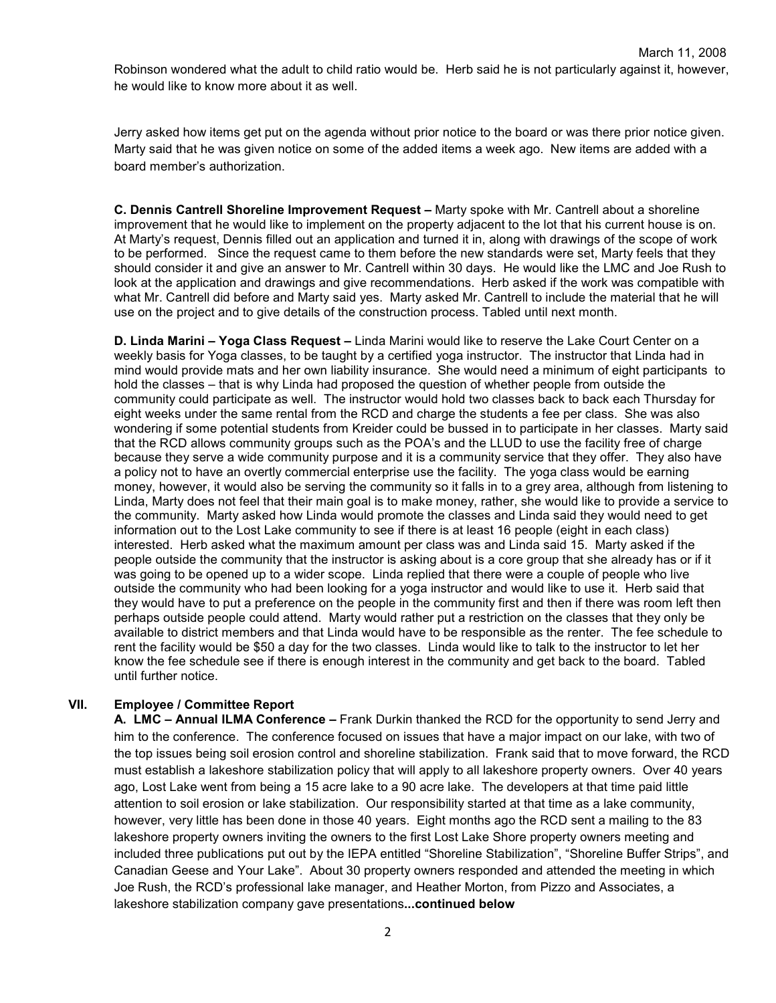Robinson wondered what the adult to child ratio would be. Herb said he is not particularly against it, however, he would like to know more about it as well.

Jerry asked how items get put on the agenda without prior notice to the board or was there prior notice given. Marty said that he was given notice on some of the added items a week ago. New items are added with a board member's authorization.

C. Dennis Cantrell Shoreline Improvement Request – Marty spoke with Mr. Cantrell about a shoreline improvement that he would like to implement on the property adjacent to the lot that his current house is on. At Marty's request, Dennis filled out an application and turned it in, along with drawings of the scope of work to be performed. Since the request came to them before the new standards were set, Marty feels that they should consider it and give an answer to Mr. Cantrell within 30 days. He would like the LMC and Joe Rush to look at the application and drawings and give recommendations. Herb asked if the work was compatible with what Mr. Cantrell did before and Marty said yes. Marty asked Mr. Cantrell to include the material that he will use on the project and to give details of the construction process. Tabled until next month.

D. Linda Marini – Yoga Class Request – Linda Marini would like to reserve the Lake Court Center on a weekly basis for Yoga classes, to be taught by a certified yoga instructor. The instructor that Linda had in mind would provide mats and her own liability insurance. She would need a minimum of eight participants to hold the classes – that is why Linda had proposed the question of whether people from outside the community could participate as well. The instructor would hold two classes back to back each Thursday for eight weeks under the same rental from the RCD and charge the students a fee per class. She was also wondering if some potential students from Kreider could be bussed in to participate in her classes. Marty said that the RCD allows community groups such as the POA's and the LLUD to use the facility free of charge because they serve a wide community purpose and it is a community service that they offer. They also have a policy not to have an overtly commercial enterprise use the facility. The yoga class would be earning money, however, it would also be serving the community so it falls in to a grey area, although from listening to Linda, Marty does not feel that their main goal is to make money, rather, she would like to provide a service to the community. Marty asked how Linda would promote the classes and Linda said they would need to get information out to the Lost Lake community to see if there is at least 16 people (eight in each class) interested. Herb asked what the maximum amount per class was and Linda said 15. Marty asked if the people outside the community that the instructor is asking about is a core group that she already has or if it was going to be opened up to a wider scope. Linda replied that there were a couple of people who live outside the community who had been looking for a yoga instructor and would like to use it. Herb said that they would have to put a preference on the people in the community first and then if there was room left then perhaps outside people could attend. Marty would rather put a restriction on the classes that they only be available to district members and that Linda would have to be responsible as the renter. The fee schedule to rent the facility would be \$50 a day for the two classes. Linda would like to talk to the instructor to let her know the fee schedule see if there is enough interest in the community and get back to the board. Tabled until further notice.

## VII. Employee / Committee Report

A. LMC – Annual ILMA Conference – Frank Durkin thanked the RCD for the opportunity to send Jerry and him to the conference. The conference focused on issues that have a major impact on our lake, with two of the top issues being soil erosion control and shoreline stabilization. Frank said that to move forward, the RCD must establish a lakeshore stabilization policy that will apply to all lakeshore property owners. Over 40 years ago, Lost Lake went from being a 15 acre lake to a 90 acre lake. The developers at that time paid little attention to soil erosion or lake stabilization. Our responsibility started at that time as a lake community, however, very little has been done in those 40 years. Eight months ago the RCD sent a mailing to the 83 lakeshore property owners inviting the owners to the first Lost Lake Shore property owners meeting and included three publications put out by the IEPA entitled "Shoreline Stabilization", "Shoreline Buffer Strips", and Canadian Geese and Your Lake". About 30 property owners responded and attended the meeting in which Joe Rush, the RCD's professional lake manager, and Heather Morton, from Pizzo and Associates, a lakeshore stabilization company gave presentations... continued below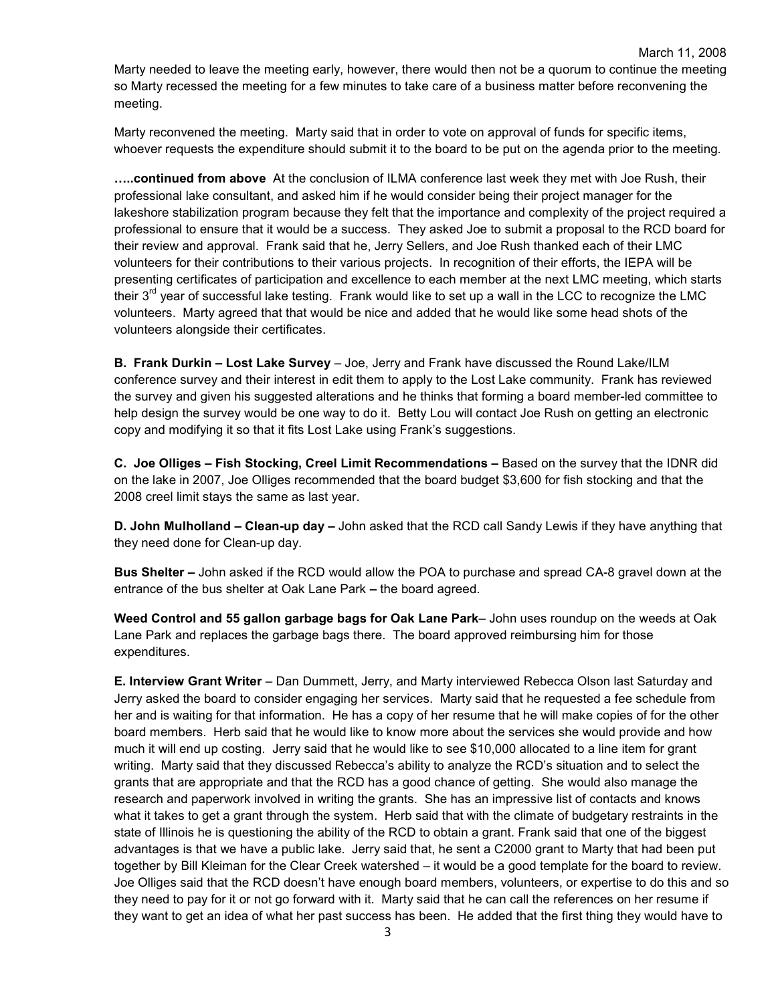Marty needed to leave the meeting early, however, there would then not be a quorum to continue the meeting so Marty recessed the meeting for a few minutes to take care of a business matter before reconvening the meeting.

Marty reconvened the meeting. Marty said that in order to vote on approval of funds for specific items, whoever requests the expenditure should submit it to the board to be put on the agenda prior to the meeting.

.....continued from above At the conclusion of ILMA conference last week they met with Joe Rush, their professional lake consultant, and asked him if he would consider being their project manager for the lakeshore stabilization program because they felt that the importance and complexity of the project required a professional to ensure that it would be a success. They asked Joe to submit a proposal to the RCD board for their review and approval. Frank said that he, Jerry Sellers, and Joe Rush thanked each of their LMC volunteers for their contributions to their various projects. In recognition of their efforts, the IEPA will be presenting certificates of participation and excellence to each member at the next LMC meeting, which starts their  $3<sup>rd</sup>$  year of successful lake testing. Frank would like to set up a wall in the LCC to recognize the LMC volunteers. Marty agreed that that would be nice and added that he would like some head shots of the volunteers alongside their certificates.

B. Frank Durkin – Lost Lake Survey – Joe, Jerry and Frank have discussed the Round Lake/ILM conference survey and their interest in edit them to apply to the Lost Lake community. Frank has reviewed the survey and given his suggested alterations and he thinks that forming a board member-led committee to help design the survey would be one way to do it. Betty Lou will contact Joe Rush on getting an electronic copy and modifying it so that it fits Lost Lake using Frank's suggestions.

C. Joe Olliges – Fish Stocking, Creel Limit Recommendations – Based on the survey that the IDNR did on the lake in 2007, Joe Olliges recommended that the board budget \$3,600 for fish stocking and that the 2008 creel limit stays the same as last year.

D. John Mulholland – Clean-up day – John asked that the RCD call Sandy Lewis if they have anything that they need done for Clean-up day.

Bus Shelter – John asked if the RCD would allow the POA to purchase and spread CA-8 gravel down at the entrance of the bus shelter at Oak Lane Park – the board agreed.

Weed Control and 55 gallon garbage bags for Oak Lane Park- John uses roundup on the weeds at Oak Lane Park and replaces the garbage bags there. The board approved reimbursing him for those expenditures.

E. Interview Grant Writer – Dan Dummett, Jerry, and Marty interviewed Rebecca Olson last Saturday and Jerry asked the board to consider engaging her services. Marty said that he requested a fee schedule from her and is waiting for that information. He has a copy of her resume that he will make copies of for the other board members. Herb said that he would like to know more about the services she would provide and how much it will end up costing. Jerry said that he would like to see \$10,000 allocated to a line item for grant writing. Marty said that they discussed Rebecca's ability to analyze the RCD's situation and to select the grants that are appropriate and that the RCD has a good chance of getting. She would also manage the research and paperwork involved in writing the grants. She has an impressive list of contacts and knows what it takes to get a grant through the system. Herb said that with the climate of budgetary restraints in the state of Illinois he is questioning the ability of the RCD to obtain a grant. Frank said that one of the biggest advantages is that we have a public lake. Jerry said that, he sent a C2000 grant to Marty that had been put together by Bill Kleiman for the Clear Creek watershed – it would be a good template for the board to review. Joe Olliges said that the RCD doesn't have enough board members, volunteers, or expertise to do this and so they need to pay for it or not go forward with it. Marty said that he can call the references on her resume if they want to get an idea of what her past success has been. He added that the first thing they would have to